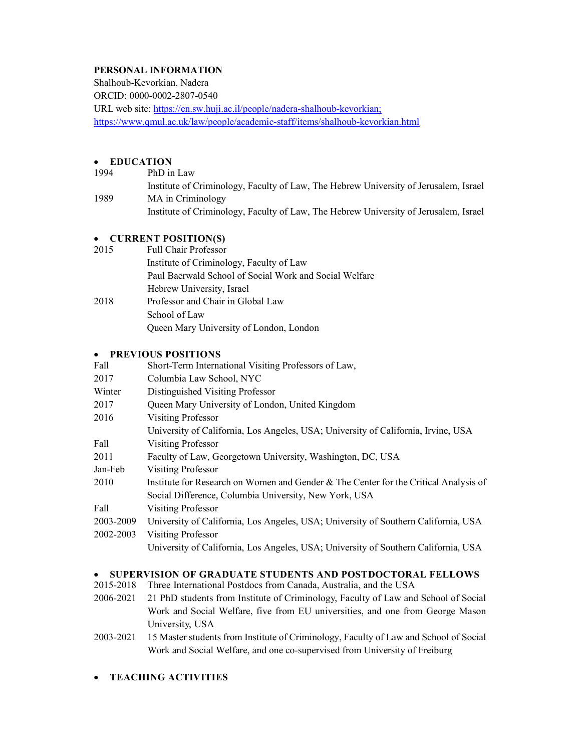# PERSONAL INFORMATION

Shalhoub-Kevorkian, Nadera ORCID: 0000-0002-2807-0540 URL web site: https://en.sw.huji.ac.il/people/nadera-shalhoub-kevorkian; https://www.qmul.ac.uk/law/people/academic-staff/items/shalhoub-kevorkian.html

# EDUCATION

1994 PhD in Law Institute of Criminology, Faculty of Law, The Hebrew University of Jerusalem, Israel 1989 MA in Criminology Institute of Criminology, Faculty of Law, The Hebrew University of Jerusalem, Israel

# • CURRENT POSITION(S)

| 2015 | <b>Full Chair Professor</b>                            |  |  |  |  |
|------|--------------------------------------------------------|--|--|--|--|
|      | Institute of Criminology, Faculty of Law               |  |  |  |  |
|      | Paul Baerwald School of Social Work and Social Welfare |  |  |  |  |
|      | Hebrew University, Israel                              |  |  |  |  |
| 2018 | Professor and Chair in Global Law                      |  |  |  |  |
|      | School of Law                                          |  |  |  |  |
|      | Queen Mary University of London, London                |  |  |  |  |
|      |                                                        |  |  |  |  |

### PREVIOUS POSITIONS

| Fall      | Short-Term International Visiting Professors of Law,                                 |  |  |  |  |  |
|-----------|--------------------------------------------------------------------------------------|--|--|--|--|--|
| 2017      | Columbia Law School, NYC                                                             |  |  |  |  |  |
| Winter    | Distinguished Visiting Professor                                                     |  |  |  |  |  |
| 2017      | Queen Mary University of London, United Kingdom                                      |  |  |  |  |  |
| 2016      | <b>Visiting Professor</b>                                                            |  |  |  |  |  |
|           | University of California, Los Angeles, USA; University of California, Irvine, USA    |  |  |  |  |  |
| Fall      | <b>Visiting Professor</b>                                                            |  |  |  |  |  |
| 2011      | Faculty of Law, Georgetown University, Washington, DC, USA                           |  |  |  |  |  |
| Jan-Feb   | <b>Visiting Professor</b>                                                            |  |  |  |  |  |
| 2010      | Institute for Research on Women and Gender & The Center for the Critical Analysis of |  |  |  |  |  |
|           | Social Difference, Columbia University, New York, USA                                |  |  |  |  |  |
| Fall      | <b>Visiting Professor</b>                                                            |  |  |  |  |  |
| 2003-2009 | University of California, Los Angeles, USA; University of Southern California, USA   |  |  |  |  |  |
| 2002-2003 | <b>Visiting Professor</b>                                                            |  |  |  |  |  |
|           | University of California, Los Angeles, USA; University of Southern California, USA   |  |  |  |  |  |

# • SUPERVISION OF GRADUATE STUDENTS AND POSTDOCTORAL FELLOWS

- 2015-2018 Three International Postdocs from Canada, Australia, and the USA
- 2006-2021 21 PhD students from Institute of Criminology, Faculty of Law and School of Social Work and Social Welfare, five from EU universities, and one from George Mason University, USA
- 2003-2021 15 Master students from Institute of Criminology, Faculty of Law and School of Social Work and Social Welfare, and one co-supervised from University of Freiburg
- TEACHING ACTIVITIES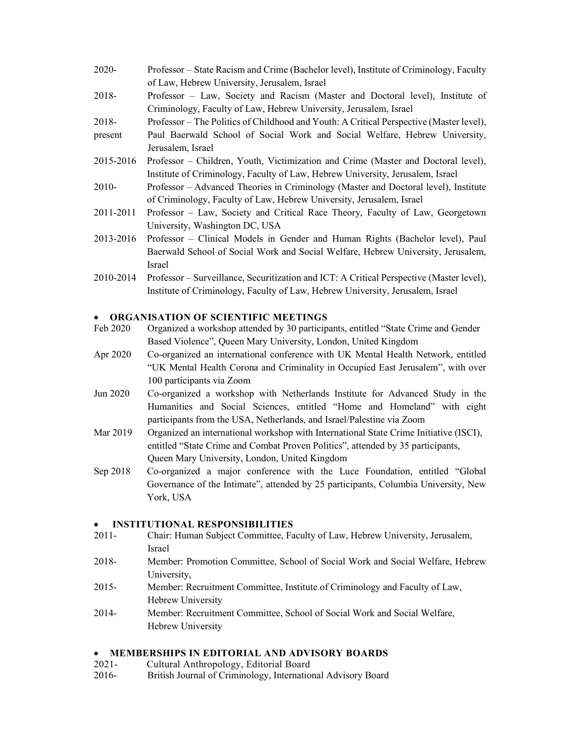- 2020- Professor State Racism and Crime (Bachelor level), Institute of Criminology, Faculty of Law, Hebrew University, Jerusalem, Israel 2018- Professor – Law, Society and Racism (Master and Doctoral level), Institute of
- Criminology, Faculty of Law, Hebrew University, Jerusalem, Israel
- 2018- Professor – The Politics of Childhood and Youth: A Critical Perspective (Master level),
- present Paul Baerwald School of Social Work and Social Welfare, Hebrew University, Jerusalem, Israel
- 2015-2016 Professor Children, Youth, Victimization and Crime (Master and Doctoral level), Institute of Criminology, Faculty of Law, Hebrew University, Jerusalem, Israel
- 2010- Professor Advanced Theories in Criminology (Master and Doctoral level), Institute of Criminology, Faculty of Law, Hebrew University, Jerusalem, Israel
- 2011-2011 Professor Law, Society and Critical Race Theory, Faculty of Law, Georgetown University, Washington DC, USA
- 2013-2016 Professor Clinical Models in Gender and Human Rights (Bachelor level), Paul Baerwald School of Social Work and Social Welfare, Hebrew University, Jerusalem, Israel
- 2010-2014 Professor Surveillance, Securitization and ICT: A Critical Perspective (Master level), Institute of Criminology, Faculty of Law, Hebrew University, Jerusalem, Israel

### ORGANISATION OF SCIENTIFIC MEETINGS

- Feb 2020 Organized a workshop attended by 30 participants, entitled "State Crime and Gender Based Violence", Queen Mary University, London, United Kingdom
- Apr 2020 Co-organized an international conference with UK Mental Health Network, entitled "UK Mental Health Corona and Criminality in Occupied East Jerusalem", with over 100 participants via Zoom
- Jun 2020 Co-organized a workshop with Netherlands Institute for Advanced Study in the Humanities and Social Sciences, entitled "Home and Homeland" with eight participants from the USA, Netherlands, and Israel/Palestine via Zoom
- Mar 2019 Organized an international workshop with International State Crime Initiative (ISCI), entitled "State Crime and Combat Proven Politics", attended by 35 participants, Queen Mary University, London, United Kingdom
- Sep 2018 Co-organized a major conference with the Luce Foundation, entitled "Global Governance of the Intimate", attended by 25 participants, Columbia University, New York, USA

#### INSTITUTIONAL RESPONSIBILITIES

- 2011- Chair: Human Subject Committee, Faculty of Law, Hebrew University, Jerusalem, Israel
- 2018- Member: Promotion Committee, School of Social Work and Social Welfare, Hebrew University,
- 2015- Member: Recruitment Committee, Institute of Criminology and Faculty of Law, Hebrew University
- 2014- Member: Recruitment Committee, School of Social Work and Social Welfare, Hebrew University

### MEMBERSHIPS IN EDITORIAL AND ADVISORY BOARDS

- 2021- Cultural Anthropology, Editorial Board
- 2016- British Journal of Criminology, International Advisory Board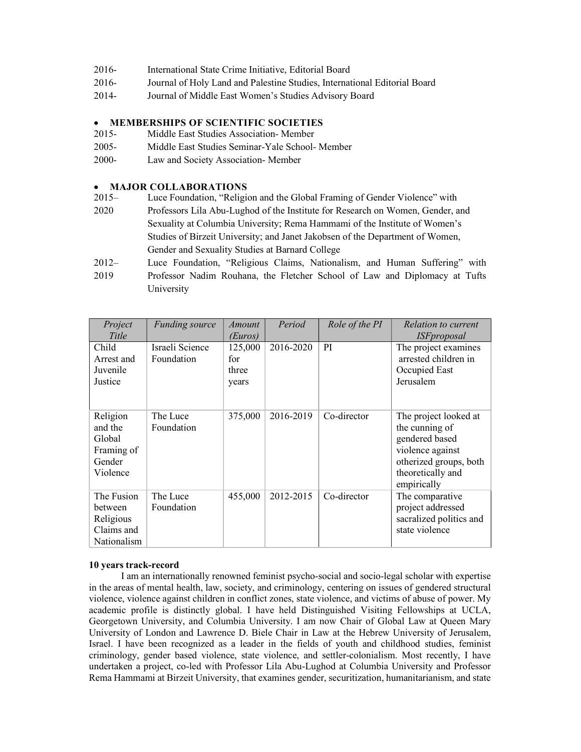| 2016- | International State Crime Initiative, Editorial Board |  |
|-------|-------------------------------------------------------|--|
|-------|-------------------------------------------------------|--|

- 2016- Journal of Holy Land and Palestine Studies, International Editorial Board
- 2014- Journal of Middle East Women's Studies Advisory Board

### MEMBERSHIPS OF SCIENTIFIC SOCIETIES

- 2015- Middle East Studies Association- Member
- 2005- Middle East Studies Seminar-Yale School- Member
- 2000- Law and Society Association- Member

#### MAJOR COLLABORATIONS

- 2015– Luce Foundation, "Religion and the Global Framing of Gender Violence" with
- 2020 Professors Lila Abu-Lughod of the Institute for Research on Women, Gender, and Sexuality at Columbia University; Rema Hammami of the Institute of Women's Studies of Birzeit University; and Janet Jakobsen of the Department of Women, Gender and Sexuality Studies at Barnard College
- 2012– Luce Foundation, "Religious Claims, Nationalism, and Human Suffering" with
- 2019 Professor Nadim Rouhana, the Fletcher School of Law and Diplomacy at Tufts University

| Project<br>Title                                                  | <i>Funding source</i>         | Amount<br>(Euros)                | Period    | Role of the PI | Relation to current<br><i><b>ISFproposal</b></i>                                                                                            |
|-------------------------------------------------------------------|-------------------------------|----------------------------------|-----------|----------------|---------------------------------------------------------------------------------------------------------------------------------------------|
| Child<br>Arrest and<br>Juvenile<br>Justice                        | Israeli Science<br>Foundation | 125,000<br>for<br>three<br>years | 2016-2020 | PI             | The project examines<br>arrested children in<br>Occupied East<br>Jerusalem                                                                  |
| Religion<br>and the<br>Global<br>Framing of<br>Gender<br>Violence | The Luce<br>Foundation        | 375,000                          | 2016-2019 | Co-director    | The project looked at<br>the cunning of<br>gendered based<br>violence against<br>otherized groups, both<br>theoretically and<br>empirically |
| The Fusion<br>between<br>Religious<br>Claims and<br>Nationalism   | The Luce<br>Foundation        | 455,000                          | 2012-2015 | Co-director    | The comparative<br>project addressed<br>sacralized politics and<br>state violence                                                           |

#### 10 years track-record

I am an internationally renowned feminist psycho-social and socio-legal scholar with expertise in the areas of mental health, law, society, and criminology, centering on issues of gendered structural violence, violence against children in conflict zones, state violence, and victims of abuse of power. My academic profile is distinctly global. I have held Distinguished Visiting Fellowships at UCLA, Georgetown University, and Columbia University. I am now Chair of Global Law at Queen Mary University of London and Lawrence D. Biele Chair in Law at the Hebrew University of Jerusalem, Israel. I have been recognized as a leader in the fields of youth and childhood studies, feminist criminology, gender based violence, state violence, and settler-colonialism. Most recently, I have undertaken a project, co-led with Professor Lila Abu-Lughod at Columbia University and Professor Rema Hammami at Birzeit University, that examines gender, securitization, humanitarianism, and state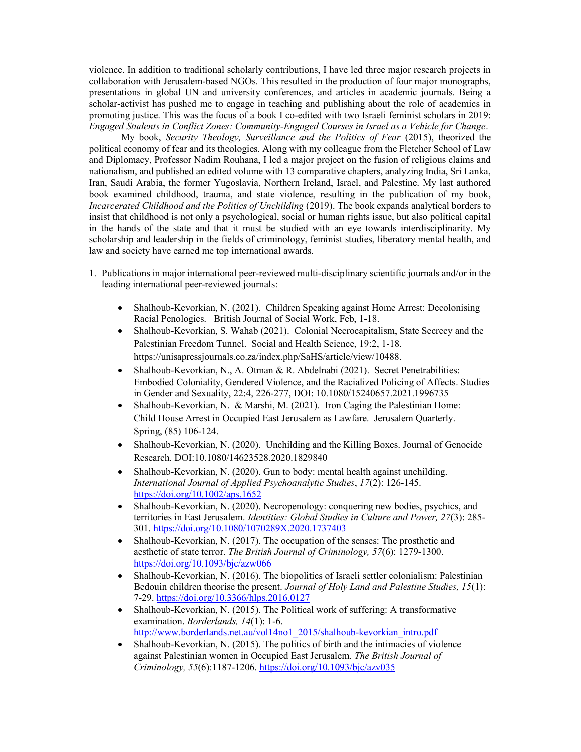violence. In addition to traditional scholarly contributions, I have led three major research projects in collaboration with Jerusalem-based NGOs. This resulted in the production of four major monographs, presentations in global UN and university conferences, and articles in academic journals. Being a scholar-activist has pushed me to engage in teaching and publishing about the role of academics in promoting justice. This was the focus of a book I co-edited with two Israeli feminist scholars in 2019: Engaged Students in Conflict Zones: Community-Engaged Courses in Israel as a Vehicle for Change.

My book, Security Theology, Surveillance and the Politics of Fear (2015), theorized the political economy of fear and its theologies. Along with my colleague from the Fletcher School of Law and Diplomacy, Professor Nadim Rouhana, I led a major project on the fusion of religious claims and nationalism, and published an edited volume with 13 comparative chapters, analyzing India, Sri Lanka, Iran, Saudi Arabia, the former Yugoslavia, Northern Ireland, Israel, and Palestine. My last authored book examined childhood, trauma, and state violence, resulting in the publication of my book, Incarcerated Childhood and the Politics of Unchilding (2019). The book expands analytical borders to insist that childhood is not only a psychological, social or human rights issue, but also political capital in the hands of the state and that it must be studied with an eye towards interdisciplinarity. My scholarship and leadership in the fields of criminology, feminist studies, liberatory mental health, and law and society have earned me top international awards.

- 1. Publications in major international peer-reviewed multi-disciplinary scientific journals and/or in the leading international peer-reviewed journals:
	- Shalhoub-Kevorkian, N. (2021). Children Speaking against Home Arrest: Decolonising Racial Penologies. British Journal of Social Work, Feb, 1-18.
	- Shalhoub-Kevorkian, S. Wahab (2021). Colonial Necrocapitalism, State Secrecy and the Palestinian Freedom Tunnel. Social and Health Science, 19:2, 1-18. https://unisapressjournals.co.za/index.php/SaHS/article/view/10488.
	- Shalhoub-Kevorkian, N., A. Otman & R. Abdelnabi (2021). Secret Penetrabilities: Embodied Coloniality, Gendered Violence, and the Racialized Policing of Affects. Studies in Gender and Sexuality, 22:4, 226-277, DOI: 10.1080/15240657.2021.1996735
	- Shalhoub-Kevorkian, N. & Marshi, M. (2021). Iron Caging the Palestinian Home: Child House Arrest in Occupied East Jerusalem as Lawfare. Jerusalem Quarterly. Spring, (85) 106-124.
	- Shalhoub-Kevorkian, N. (2020). Unchilding and the Killing Boxes. Journal of Genocide Research. DOI:10.1080/14623528.2020.1829840
	- Shalhoub-Kevorkian, N. (2020). Gun to body: mental health against unchilding. International Journal of Applied Psychoanalytic Studies, 17(2): 126-145. https://doi.org/10.1002/aps.1652
	- Shalhoub-Kevorkian, N. (2020). Necropenology: conquering new bodies, psychics, and territories in East Jerusalem. Identities: Global Studies in Culture and Power, 27(3): 285-301. https://doi.org/10.1080/1070289X.2020.1737403
	- Shalhoub-Kevorkian, N. (2017). The occupation of the senses: The prosthetic and aesthetic of state terror. The British Journal of Criminology, 57(6): 1279-1300. https://doi.org/10.1093/bjc/azw066
	- Shalhoub-Kevorkian, N. (2016). The biopolitics of Israeli settler colonialism: Palestinian Bedouin children theorise the present. Journal of Holy Land and Palestine Studies, 15(1): 7-29. https://doi.org/10.3366/hlps.2016.0127
	- Shalhoub-Kevorkian, N. (2015). The Political work of suffering: A transformative examination. Borderlands, 14(1): 1-6. http://www.borderlands.net.au/vol14no1\_2015/shalhoub-kevorkian\_intro.pdf
	- Shalhoub-Kevorkian, N. (2015). The politics of birth and the intimacies of violence against Palestinian women in Occupied East Jerusalem. The British Journal of Criminology, 55(6):1187-1206. https://doi.org/10.1093/bjc/azv035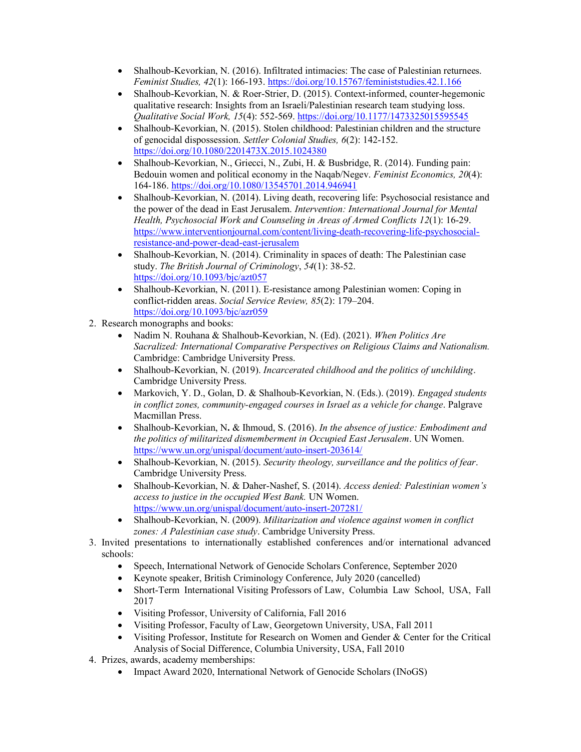- Shalhoub-Kevorkian, N. (2016). Infiltrated intimacies: The case of Palestinian returnees. Feminist Studies, 42(1): 166-193. https://doi.org/10.15767/feministstudies.42.1.166
- Shalhoub-Kevorkian, N. & Roer-Strier, D. (2015). Context-informed, counter-hegemonic qualitative research: Insights from an Israeli/Palestinian research team studying loss. Qualitative Social Work, 15(4): 552-569. https://doi.org/10.1177/1473325015595545
- Shalhoub-Kevorkian, N. (2015). Stolen childhood: Palestinian children and the structure of genocidal dispossession. Settler Colonial Studies, 6(2): 142-152. https://doi.org/10.1080/2201473X.2015.1024380
- Shalhoub-Kevorkian, N., Griecci, N., Zubi, H. & Busbridge, R. (2014). Funding pain: Bedouin women and political economy in the Naqab/Negev. Feminist Economics, 20(4): 164-186. https://doi.org/10.1080/13545701.2014.946941
- Shalhoub-Kevorkian, N. (2014). Living death, recovering life: Psychosocial resistance and the power of the dead in East Jerusalem. Intervention: International Journal for Mental Health, Psychosocial Work and Counseling in Areas of Armed Conflicts 12(1): 16-29. https://www.interventionjournal.com/content/living-death-recovering-life-psychosocialresistance-and-power-dead-east-jerusalem
- Shalhoub-Kevorkian, N. (2014). Criminality in spaces of death: The Palestinian case study. The British Journal of Criminology, 54(1): 38-52. https://doi.org/10.1093/bjc/azt057
- Shalhoub-Kevorkian, N. (2011). E-resistance among Palestinian women: Coping in conflict-ridden areas. Social Service Review, 85(2): 179–204. https://doi.org/10.1093/bjc/azr059
- 2. Research monographs and books:
	- Nadim N. Rouhana & Shalhoub-Kevorkian, N. (Ed). (2021). When Politics Are Sacralized: International Comparative Perspectives on Religious Claims and Nationalism. Cambridge: Cambridge University Press.
	- Shalhoub-Kevorkian, N. (2019). Incarcerated childhood and the politics of unchilding. Cambridge University Press.
	- Markovich, Y. D., Golan, D. & Shalhoub-Kevorkian, N. (Eds.). (2019). Engaged students in conflict zones, community-engaged courses in Israel as a vehicle for change. Palgrave Macmillan Press.
	- Shalhoub-Kevorkian, N. & Ihmoud, S. (2016). In the absence of justice: Embodiment and the politics of militarized dismemberment in Occupied East Jerusalem. UN Women. https://www.un.org/unispal/document/auto-insert-203614/
	- Shalhoub-Kevorkian, N. (2015). Security theology, surveillance and the politics of fear. Cambridge University Press.
	- Shalhoub-Kevorkian, N. & Daher-Nashef, S. (2014). Access denied: Palestinian women's access to justice in the occupied West Bank. UN Women. https://www.un.org/unispal/document/auto-insert-207281/
	- Shalhoub-Kevorkian, N. (2009). *Militarization and violence against women in conflict* zones: A Palestinian case study. Cambridge University Press.
- 3. Invited presentations to internationally established conferences and/or international advanced schools:
	- Speech, International Network of Genocide Scholars Conference, September 2020
	- Keynote speaker, British Criminology Conference, July 2020 (cancelled)
	- Short-Term International Visiting Professors of Law, Columbia Law School, USA, Fall 2017
	- Visiting Professor, University of California, Fall 2016
	- Visiting Professor, Faculty of Law, Georgetown University, USA, Fall 2011
	- Visiting Professor, Institute for Research on Women and Gender & Center for the Critical Analysis of Social Difference, Columbia University, USA, Fall 2010
- 4. Prizes, awards, academy memberships:
	- Impact Award 2020, International Network of Genocide Scholars (INoGS)